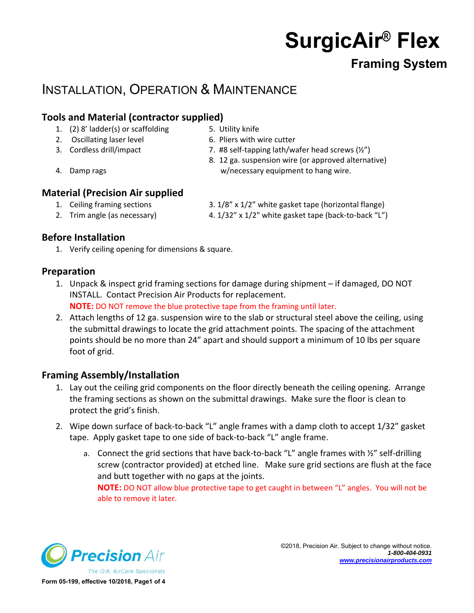# **SurgicAir® Flex**

### **Framing System**

## INSTALLATION, OPERATION & MAINTENANCE

### **Tools and Material (contractor supplied)**

- 1. (2) 8' ladder(s) or scaffolding 5. Utility knife
- 2. Oscillating laser level 6. Pliers with wire cutter
- 
- 
- 
- 3. Cordless drill/impact 7. #8 self-tapping lath/wafer head screws (½")
- 8. 12 ga. suspension wire (or approved alternative) 4. Damp rags w/necessary equipment to hang wire.

- **Material (Precision Air supplied** 
	-
	-
	- 1. Ceiling framing sections 3. 1/8" x 1/2" white gasket tape (horizontal flange)
	- 2. Trim angle (as necessary) 4. 1/32" x 1/2" white gasket tape (back-to-back "L")

#### **Before Installation**

1. Verify ceiling opening for dimensions & square.

#### **Preparation**

1. Unpack & inspect grid framing sections for damage during shipment – if damaged, DO NOT INSTALL. Contact Precision Air Products for replacement.

**NOTE:** DO NOT remove the blue protective tape from the framing until later.

2. Attach lengths of 12 ga. suspension wire to the slab or structural steel above the ceiling, using the submittal drawings to locate the grid attachment points. The spacing of the attachment points should be no more than 24" apart and should support a minimum of 10 lbs per square foot of grid.

#### **Framing Assembly/Installation**

- 1. Lay out the ceiling grid components on the floor directly beneath the ceiling opening. Arrange the framing sections as shown on the submittal drawings. Make sure the floor is clean to protect the grid's finish.
- 2. Wipe down surface of back-to-back "L" angle frames with a damp cloth to accept 1/32" gasket tape. Apply gasket tape to one side of back-to-back "L" angle frame.
	- a. Connect the grid sections that have back-to-back "L" angle frames with  $\frac{1}{2}$ " self-drilling screw (contractor provided) at etched line. Make sure grid sections are flush at the face and butt together with no gaps at the joints.

**NOTE:** DO NOT allow blue protective tape to get caught in between "L" angles. You will not be able to remove it later.

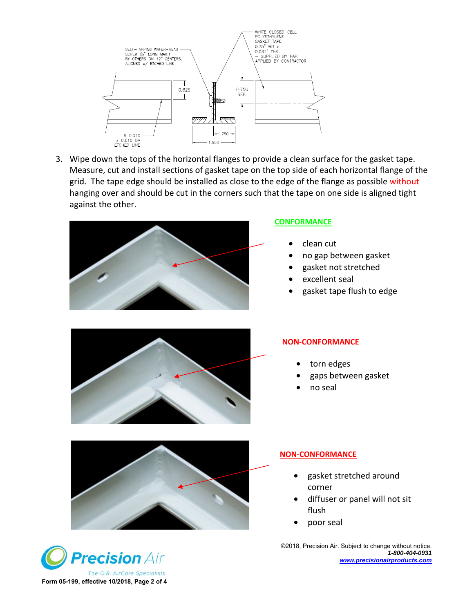

3. Wipe down the tops of the horizontal flanges to provide a clean surface for the gasket tape. Measure, cut and install sections of gasket tape on the top side of each horizontal flange of the grid. The tape edge should be installed as close to the edge of the flange as possible without hanging over and should be cut in the corners such that the tape on one side is aligned tight against the other.



#### **CONFORMANCE**

- clean cut
- no gap between gasket
- gasket not stretched
- excellent seal
- gasket tape flush to edge



#### **NON-CONFORMANCE**

- torn edges
- gaps between gasket
- no seal



#### **NON-CONFORMANCE**

- gasket stretched around corner
- diffuser or panel will not sit flush
- poor seal

©2018, Precision Air. Subject to change without notice. *1-800-404-0931 www.precisionairproducts.com*

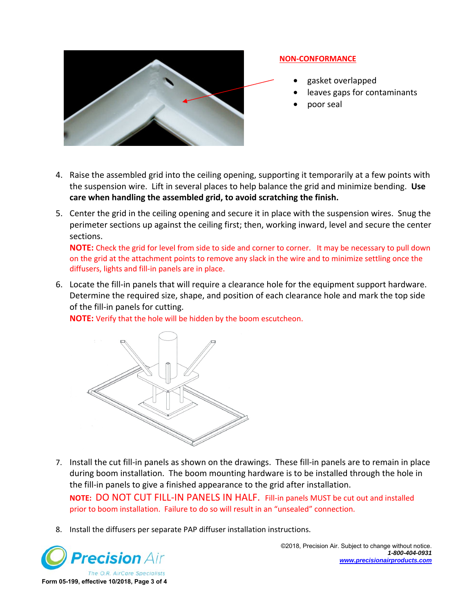

#### **NON-CONFORMANCE**

- gasket overlapped
- leaves gaps for contaminants
- poor seal
- 4. Raise the assembled grid into the ceiling opening, supporting it temporarily at a few points with the suspension wire. Lift in several places to help balance the grid and minimize bending. **Use care when handling the assembled grid, to avoid scratching the finish.**
- 5. Center the grid in the ceiling opening and secure it in place with the suspension wires. Snug the perimeter sections up against the ceiling first; then, working inward, level and secure the center sections.

**NOTE:** Check the grid for level from side to side and corner to corner. It may be necessary to pull down on the grid at the attachment points to remove any slack in the wire and to minimize settling once the diffusers, lights and fill-in panels are in place.

6. Locate the fill-in panels that will require a clearance hole for the equipment support hardware. Determine the required size, shape, and position of each clearance hole and mark the top side of the fill-in panels for cutting.

**NOTE:** Verify that the hole will be hidden by the boom escutcheon.



- 7. Install the cut fill-in panels as shown on the drawings. These fill-in panels are to remain in place during boom installation. The boom mounting hardware is to be installed through the hole in the fill-in panels to give a finished appearance to the grid after installation. **NOTE:** DO NOT CUT FILL-IN PANELS IN HALF. Fill-in panels MUST be cut out and installed prior to boom installation. Failure to do so will result in an "unsealed" connection.
- 8. Install the diffusers per separate PAP diffuser installation instructions.